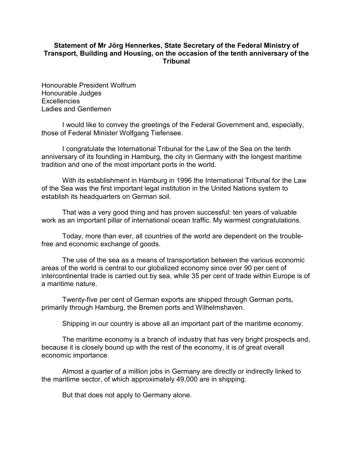## **Statement of Mr Jörg Hennerkes, State Secretary of the Federal Ministry of Transport, Building and Housing, on the occasion of the tenth anniversary of the Tribunal**

Honourable President Wolfrum Honourable Judges **Excellencies** Ladies and Gentlemen

I would like to convey the greetings of the Federal Government and, especially, those of Federal Minister Wolfgang Tiefensee.

I congratulate the International Tribunal for the Law of the Sea on the tenth anniversary of its founding in Hamburg, the city in Germany with the longest maritime tradition and one of the most important ports in the world.

With its establishment in Hamburg in 1996 the International Tribunal for the Law of the Sea was the first important legal institution in the United Nations system to establish its headquarters on German soil.

That was a very good thing and has proven successful: ten years of valuable work as an important pillar of international ocean traffic. My warmest congratulations.

Today, more than ever, all countries of the world are dependent on the troublefree and economic exchange of goods.

The use of the sea as a means of transportation between the various economic areas of the world is central to our globalized economy since over 90 per cent of intercontinental trade is carried out by sea, while 35 per cent of trade within Europe is of a maritime nature.

Twenty-five per cent of German exports are shipped through German ports, primarily through Hamburg, the Bremen ports and Wilhelmshaven.

Shipping in our country is above all an important part of the maritime economy.

The maritime economy is a branch of industry that has very bright prospects and, because it is closely bound up with the rest of the economy, it is of great overall economic importance.

Almost a quarter of a million jobs in Germany are directly or indirectly linked to the maritime sector, of which approximately 49,000 are in shipping.

But that does not apply to Germany alone.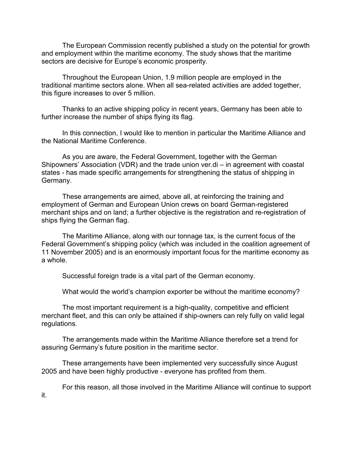The European Commission recently published a study on the potential for growth and employment within the maritime economy. The study shows that the maritime sectors are decisive for Europe's economic prosperity.

Throughout the European Union, 1.9 million people are employed in the traditional maritime sectors alone. When all sea-related activities are added together, this figure increases to over 5 million.

Thanks to an active shipping policy in recent years, Germany has been able to further increase the number of ships flying its flag.

In this connection, I would like to mention in particular the Maritime Alliance and the National Maritime Conference.

As you are aware, the Federal Government, together with the German Shipowners' Association (VDR) and the trade union ver.di – in agreement with coastal states - has made specific arrangements for strengthening the status of shipping in Germany.

These arrangements are aimed, above all, at reinforcing the training and employment of German and European Union crews on board German-registered merchant ships and on land; a further objective is the registration and re-registration of ships flying the German flag.

The Maritime Alliance, along with our tonnage tax, is the current focus of the Federal Government's shipping policy (which was included in the coalition agreement of 11 November 2005) and is an enormously important focus for the maritime economy as a whole.

Successful foreign trade is a vital part of the German economy.

What would the world's champion exporter be without the maritime economy?

The most important requirement is a high-quality, competitive and efficient merchant fleet, and this can only be attained if ship-owners can rely fully on valid legal regulations.

The arrangements made within the Maritime Alliance therefore set a trend for assuring Germany's future position in the maritime sector.

These arrangements have been implemented very successfully since August 2005 and have been highly productive - everyone has profited from them.

it.

For this reason, all those involved in the Maritime Alliance will continue to support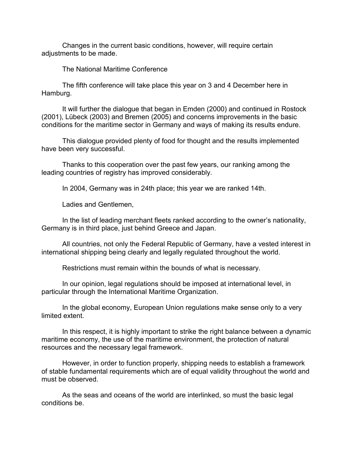Changes in the current basic conditions, however, will require certain adiustments to be made.

The National Maritime Conference

The fifth conference will take place this year on 3 and 4 December here in Hamburg.

It will further the dialogue that began in Emden (2000) and continued in Rostock (2001), Lübeck (2003) and Bremen (2005) and concerns improvements in the basic conditions for the maritime sector in Germany and ways of making its results endure.

This dialogue provided plenty of food for thought and the results implemented have been very successful.

Thanks to this cooperation over the past few years, our ranking among the leading countries of registry has improved considerably.

In 2004, Germany was in 24th place; this year we are ranked 14th.

Ladies and Gentlemen,

In the list of leading merchant fleets ranked according to the owner's nationality, Germany is in third place, just behind Greece and Japan.

All countries, not only the Federal Republic of Germany, have a vested interest in international shipping being clearly and legally regulated throughout the world.

Restrictions must remain within the bounds of what is necessary.

In our opinion, legal regulations should be imposed at international level, in particular through the International Maritime Organization.

In the global economy, European Union regulations make sense only to a very limited extent.

In this respect, it is highly important to strike the right balance between a dynamic maritime economy, the use of the maritime environment, the protection of natural resources and the necessary legal framework.

However, in order to function properly, shipping needs to establish a framework of stable fundamental requirements which are of equal validity throughout the world and must be observed.

As the seas and oceans of the world are interlinked, so must the basic legal conditions be.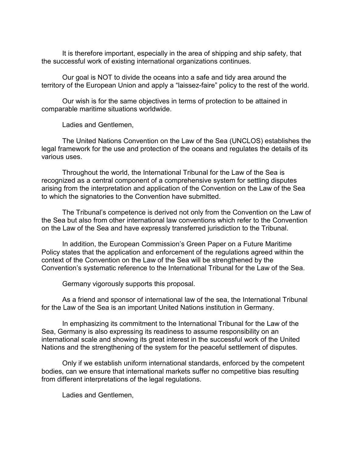It is therefore important, especially in the area of shipping and ship safety, that the successful work of existing international organizations continues.

Our goal is NOT to divide the oceans into a safe and tidy area around the territory of the European Union and apply a "laissez-faire" policy to the rest of the world.

Our wish is for the same objectives in terms of protection to be attained in comparable maritime situations worldwide.

Ladies and Gentlemen,

The United Nations Convention on the Law of the Sea (UNCLOS) establishes the legal framework for the use and protection of the oceans and regulates the details of its various uses.

Throughout the world, the International Tribunal for the Law of the Sea is recognized as a central component of a comprehensive system for settling disputes arising from the interpretation and application of the Convention on the Law of the Sea to which the signatories to the Convention have submitted.

The Tribunal's competence is derived not only from the Convention on the Law of the Sea but also from other international law conventions which refer to the Convention on the Law of the Sea and have expressly transferred jurisdiction to the Tribunal.

In addition, the European Commission's Green Paper on a Future Maritime Policy states that the application and enforcement of the regulations agreed within the context of the Convention on the Law of the Sea will be strengthened by the Convention's systematic reference to the International Tribunal for the Law of the Sea.

Germany vigorously supports this proposal.

As a friend and sponsor of international law of the sea, the International Tribunal for the Law of the Sea is an important United Nations institution in Germany.

In emphasizing its commitment to the International Tribunal for the Law of the Sea, Germany is also expressing its readiness to assume responsibility on an international scale and showing its great interest in the successful work of the United Nations and the strengthening of the system for the peaceful settlement of disputes.

Only if we establish uniform international standards, enforced by the competent bodies, can we ensure that international markets suffer no competitive bias resulting from different interpretations of the legal regulations.

Ladies and Gentlemen,